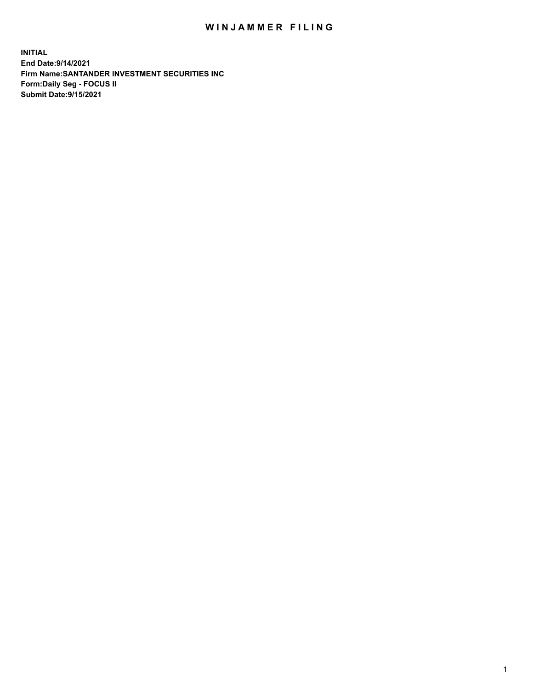## WIN JAMMER FILING

**INITIAL End Date:9/14/2021 Firm Name:SANTANDER INVESTMENT SECURITIES INC Form:Daily Seg - FOCUS II Submit Date:9/15/2021**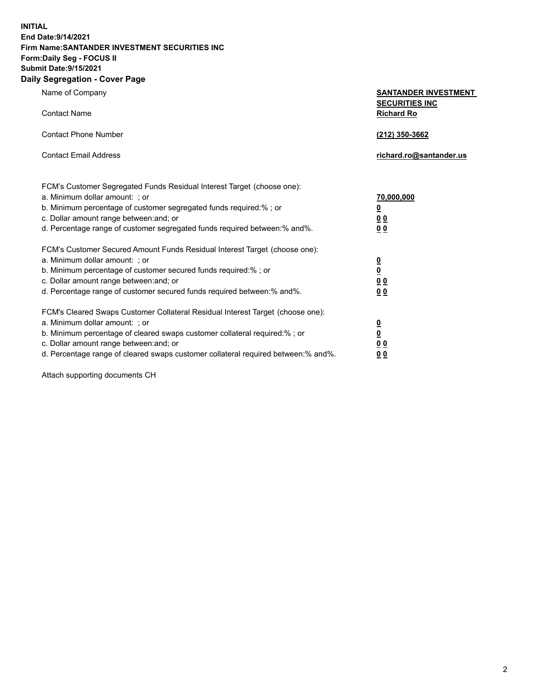**INITIAL End Date:9/14/2021 Firm Name:SANTANDER INVESTMENT SECURITIES INC Form:Daily Seg - FOCUS II Submit Date:9/15/2021 Daily Segregation - Cover Page**

| $0091090001 - 00101 + 090$                                                        |                                            |
|-----------------------------------------------------------------------------------|--------------------------------------------|
| Name of Company                                                                   | <b>SANTANDER INVESTMENT</b>                |
| <b>Contact Name</b>                                                               | <b>SECURITIES INC</b><br><b>Richard Ro</b> |
| <b>Contact Phone Number</b>                                                       | (212) 350-3662                             |
| <b>Contact Email Address</b>                                                      | richard.ro@santander.us                    |
| FCM's Customer Segregated Funds Residual Interest Target (choose one):            |                                            |
| a. Minimum dollar amount: ; or                                                    | 70,000,000                                 |
| b. Minimum percentage of customer segregated funds required:%; or                 | $\overline{\mathbf{0}}$                    |
| c. Dollar amount range between: and; or                                           | 0 <sub>0</sub>                             |
| d. Percentage range of customer segregated funds required between: % and %.       | 0 <sub>0</sub>                             |
| FCM's Customer Secured Amount Funds Residual Interest Target (choose one):        |                                            |
| a. Minimum dollar amount: ; or                                                    | $\overline{\mathbf{0}}$                    |
| b. Minimum percentage of customer secured funds required:%; or                    | $\underline{\mathbf{0}}$                   |
| c. Dollar amount range between: and; or                                           | 0 <sub>0</sub>                             |
| d. Percentage range of customer secured funds required between: % and %.          | 0 <sub>0</sub>                             |
| FCM's Cleared Swaps Customer Collateral Residual Interest Target (choose one):    |                                            |
| a. Minimum dollar amount: ; or                                                    | $\overline{\mathbf{0}}$                    |
| b. Minimum percentage of cleared swaps customer collateral required:%; or         | $\underline{\mathbf{0}}$                   |
| c. Dollar amount range between: and; or                                           | 0 <sub>0</sub>                             |
| d. Percentage range of cleared swaps customer collateral required between:% and%. | 00                                         |

Attach supporting documents CH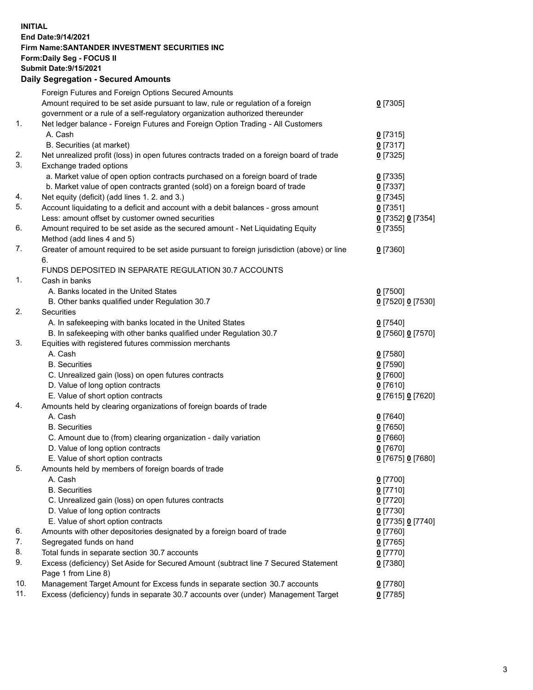**INITIAL End Date:9/14/2021 Firm Name:SANTANDER INVESTMENT SECURITIES INC Form:Daily Seg - FOCUS II Submit Date:9/15/2021 Daily Segregation - Secured Amounts**

|     | Foreign Futures and Foreign Options Secured Amounts                                         |                   |
|-----|---------------------------------------------------------------------------------------------|-------------------|
|     | Amount required to be set aside pursuant to law, rule or regulation of a foreign            | $0$ [7305]        |
|     | government or a rule of a self-regulatory organization authorized thereunder                |                   |
| 1.  | Net ledger balance - Foreign Futures and Foreign Option Trading - All Customers             |                   |
|     | A. Cash                                                                                     | $0$ [7315]        |
|     | B. Securities (at market)                                                                   | $0$ [7317]        |
| 2.  | Net unrealized profit (loss) in open futures contracts traded on a foreign board of trade   | $0$ [7325]        |
| 3.  | Exchange traded options                                                                     |                   |
|     | a. Market value of open option contracts purchased on a foreign board of trade              | $0$ [7335]        |
|     | b. Market value of open contracts granted (sold) on a foreign board of trade                | $0$ [7337]        |
| 4.  | Net equity (deficit) (add lines 1. 2. and 3.)                                               | $0$ [7345]        |
| 5.  | Account liquidating to a deficit and account with a debit balances - gross amount           | $0$ [7351]        |
|     | Less: amount offset by customer owned securities                                            | 0 [7352] 0 [7354] |
| 6.  | Amount required to be set aside as the secured amount - Net Liquidating Equity              | $0$ [7355]        |
|     | Method (add lines 4 and 5)                                                                  |                   |
| 7.  | Greater of amount required to be set aside pursuant to foreign jurisdiction (above) or line | $0$ [7360]        |
|     | 6.                                                                                          |                   |
|     | FUNDS DEPOSITED IN SEPARATE REGULATION 30.7 ACCOUNTS                                        |                   |
| 1.  | Cash in banks                                                                               |                   |
|     | A. Banks located in the United States                                                       | $0$ [7500]        |
|     | B. Other banks qualified under Regulation 30.7                                              | 0 [7520] 0 [7530] |
| 2.  | <b>Securities</b>                                                                           |                   |
|     | A. In safekeeping with banks located in the United States                                   | $0$ [7540]        |
|     | B. In safekeeping with other banks qualified under Regulation 30.7                          | 0 [7560] 0 [7570] |
| 3.  | Equities with registered futures commission merchants                                       |                   |
|     | A. Cash                                                                                     | $0$ [7580]        |
|     | <b>B.</b> Securities                                                                        | $0$ [7590]        |
|     | C. Unrealized gain (loss) on open futures contracts                                         | $0$ [7600]        |
|     | D. Value of long option contracts                                                           | $0$ [7610]        |
|     | E. Value of short option contracts                                                          | 0 [7615] 0 [7620] |
| 4.  | Amounts held by clearing organizations of foreign boards of trade                           |                   |
|     | A. Cash                                                                                     | $0$ [7640]        |
|     | <b>B.</b> Securities                                                                        | $0$ [7650]        |
|     | C. Amount due to (from) clearing organization - daily variation                             | $0$ [7660]        |
|     | D. Value of long option contracts                                                           | $0$ [7670]        |
|     | E. Value of short option contracts                                                          | 0 [7675] 0 [7680] |
| 5.  | Amounts held by members of foreign boards of trade                                          |                   |
|     | A. Cash                                                                                     | 0 [7700]          |
|     | <b>B.</b> Securities                                                                        | $0$ [7710]        |
|     | C. Unrealized gain (loss) on open futures contracts                                         | $0$ [7720]        |
|     | D. Value of long option contracts                                                           | $0$ [7730]        |
|     | E. Value of short option contracts                                                          | 0 [7735] 0 [7740] |
| 6.  | Amounts with other depositories designated by a foreign board of trade                      | $0$ [7760]        |
| 7.  | Segregated funds on hand                                                                    | $0$ [7765]        |
| 8.  | Total funds in separate section 30.7 accounts                                               | $0$ [7770]        |
| 9.  | Excess (deficiency) Set Aside for Secured Amount (subtract line 7 Secured Statement         | $0$ [7380]        |
|     | Page 1 from Line 8)                                                                         |                   |
| 10. | Management Target Amount for Excess funds in separate section 30.7 accounts                 | $0$ [7780]        |
| 11. | Excess (deficiency) funds in separate 30.7 accounts over (under) Management Target          | $0$ [7785]        |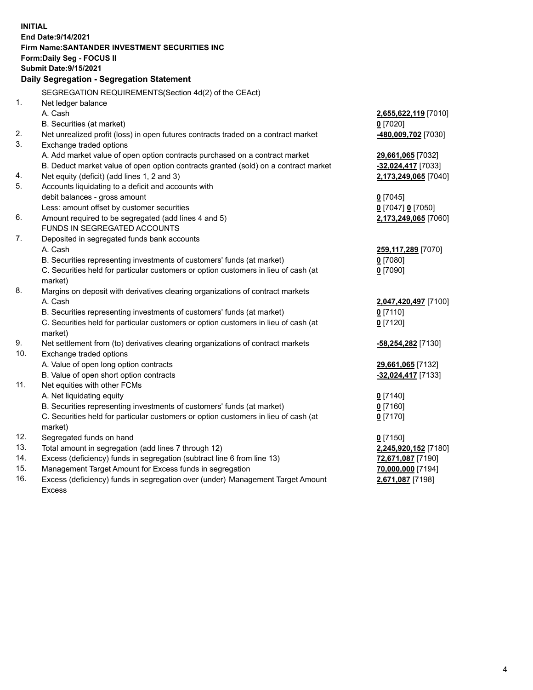| <b>INITIAL</b> | End Date: 9/14/2021<br>Firm Name: SANTANDER INVESTMENT SECURITIES INC               |                                    |
|----------------|-------------------------------------------------------------------------------------|------------------------------------|
|                | <b>Form:Daily Seg - FOCUS II</b>                                                    |                                    |
|                | <b>Submit Date: 9/15/2021</b>                                                       |                                    |
|                | Daily Segregation - Segregation Statement                                           |                                    |
|                |                                                                                     |                                    |
| 1.             | SEGREGATION REQUIREMENTS(Section 4d(2) of the CEAct)                                |                                    |
|                | Net ledger balance                                                                  |                                    |
|                | A. Cash<br>B. Securities (at market)                                                | 2,655,622,119 [7010]<br>$0$ [7020] |
| 2.             | Net unrealized profit (loss) in open futures contracts traded on a contract market  | -480,009,702 [7030]                |
| 3.             | Exchange traded options                                                             |                                    |
|                | A. Add market value of open option contracts purchased on a contract market         | 29,661,065 [7032]                  |
|                | B. Deduct market value of open option contracts granted (sold) on a contract market | -32,024,417 [7033]                 |
| 4.             | Net equity (deficit) (add lines 1, 2 and 3)                                         | 2,173,249,065 [7040]               |
| 5.             | Accounts liquidating to a deficit and accounts with                                 |                                    |
|                | debit balances - gross amount                                                       | $0$ [7045]                         |
|                | Less: amount offset by customer securities                                          | 0 [7047] 0 [7050]                  |
| 6.             | Amount required to be segregated (add lines 4 and 5)                                | 2,173,249,065 [7060]               |
|                | FUNDS IN SEGREGATED ACCOUNTS                                                        |                                    |
| 7.             | Deposited in segregated funds bank accounts                                         |                                    |
|                | A. Cash                                                                             | 259,117,289 [7070]                 |
|                | B. Securities representing investments of customers' funds (at market)              | $0$ [7080]                         |
|                | C. Securities held for particular customers or option customers in lieu of cash (at | $0$ [7090]                         |
|                | market)                                                                             |                                    |
| 8.             | Margins on deposit with derivatives clearing organizations of contract markets      |                                    |
|                | A. Cash                                                                             | 2,047,420,497 [7100]               |
|                | B. Securities representing investments of customers' funds (at market)              | $0$ [7110]                         |
|                | C. Securities held for particular customers or option customers in lieu of cash (at | $0$ [7120]                         |
|                | market)                                                                             |                                    |
| 9.             | Net settlement from (to) derivatives clearing organizations of contract markets     | <u>-58,254,282</u> [7130]          |
| 10.            | Exchange traded options                                                             |                                    |
|                | A. Value of open long option contracts                                              | 29,661,065 [7132]                  |
| 11.            | B. Value of open short option contracts<br>Net equities with other FCMs             | -32,024,417 [7133]                 |
|                | A. Net liquidating equity                                                           | $0$ [7140]                         |
|                | B. Securities representing investments of customers' funds (at market)              | $0$ [7160]                         |
|                | C. Securities held for particular customers or option customers in lieu of cash (at | $0$ [7170]                         |
|                | market)                                                                             |                                    |
| 12.            | Segregated funds on hand                                                            | $0$ [7150]                         |
| 13.            | Total amount in segregation (add lines 7 through 12)                                | 2,245,920,152 [7180]               |
| 14.            | Excess (deficiency) funds in segregation (subtract line 6 from line 13)             | 72,671,087 [7190]                  |
| 15.            | Management Target Amount for Excess funds in segregation                            | 70,000,000 [7194]                  |
| 16.            | Excess (deficiency) funds in segregation over (under) Management Target Amount      | 2,671,087 [7198]                   |
|                | <b>Excess</b>                                                                       |                                    |